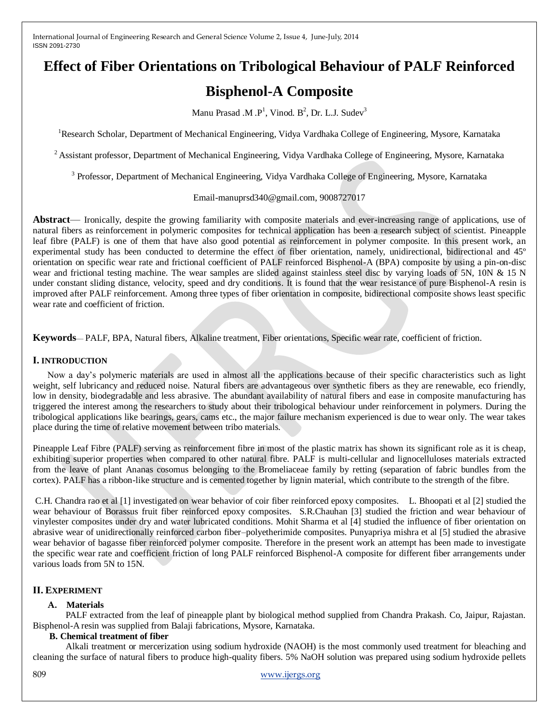# **Effect of Fiber Orientations on Tribological Behaviour of PALF Reinforced**

## **Bisphenol-A Composite**

Manu Prasad .M .P<sup>1</sup>, Vinod. B<sup>2</sup>, Dr. L.J. Sudev<sup>3</sup>

<sup>1</sup>Research Scholar, Department of Mechanical Engineering, Vidya Vardhaka College of Engineering, Mysore, Karnataka

<sup>2</sup> Assistant professor, Department of Mechanical Engineering, Vidya Vardhaka College of Engineering, Mysore, Karnataka

<sup>3</sup> Professor, Department of Mechanical Engineering, Vidya Vardhaka College of Engineering, Mysore, Karnataka

## Email-manuprsd340@gmail.com, 9008727017

**Abstract**— Ironically, despite the growing familiarity with composite materials and ever-increasing range of applications, use of natural fibers as reinforcement in polymeric composites for technical application has been a research subject of scientist. Pineapple leaf fibre (PALF) is one of them that have also good potential as reinforcement in polymer composite. In this present work, an experimental study has been conducted to determine the effect of fiber orientation, namely, unidirectional, bidirectional and 45º orientation on specific wear rate and frictional coefficient of PALF reinforced Bisphenol-A (BPA) composite by using a pin-on-disc wear and frictional testing machine. The wear samples are slided against stainless steel disc by varying loads of 5N, 10N & 15 N under constant sliding distance, velocity, speed and dry conditions. It is found that the wear resistance of pure Bisphenol-A resin is improved after PALF reinforcement. Among three types of fiber orientation in composite, bidirectional composite shows least specific wear rate and coefficient of friction.

**Keywords**— PALF, BPA, Natural fibers, Alkaline treatment, Fiber orientations, Specific wear rate, coefficient of friction.

#### **І. INTRODUCTION**

Now a day's polymeric materials are used in almost all the applications because of their specific characteristics such as light weight, self lubricancy and reduced noise. Natural fibers are advantageous over synthetic fibers as they are renewable, eco friendly, low in density, biodegradable and less abrasive. The abundant availability of natural fibers and ease in composite manufacturing has triggered the interest among the researchers to study about their tribological behaviour under reinforcement in polymers. During the tribological applications like bearings, gears, cams etc., the major failure mechanism experienced is due to wear only. The wear takes place during the time of relative movement between tribo materials.

Pineapple Leaf Fibre (PALF) serving as reinforcement fibre in most of the plastic matrix has shown its significant role as it is cheap, exhibiting superior properties when compared to other natural fibre. PALF is multi-cellular and lignocelluloses materials extracted from the leave of plant Ananas cosomus belonging to the Bromeliaceae family by retting (separation of fabric bundles from the cortex). PALF has a ribbon-like structure and is cemented together by lignin material, which contribute to the strength of the fibre.

C.H. Chandra rao et al [1] investigated on wear behavior of coir fiber reinforced epoxy composites. L. Bhoopati et al [2] studied the wear behaviour of Borassus fruit fiber reinforced epoxy composites. S.R.Chauhan [3] studied the friction and wear behaviour of vinylester composites under dry and water lubricated conditions. Mohit Sharma et al [4] studied the influence of fiber orientation on abrasive wear of unidirectionally reinforced carbon fiber–polyetherimide composites. Punyapriya mishra et al [5] studied the abrasive wear behavior of bagasse fiber reinforced polymer composite. Therefore in the present work an attempt has been made to investigate the specific wear rate and coefficient friction of long PALF reinforced Bisphenol-A composite for different fiber arrangements under various loads from 5N to 15N.

## **ІІ. EXPERIMENT**

## **A. Materials**

PALF extracted from the leaf of pineapple plant by biological method supplied from Chandra Prakash. Co, Jaipur, Rajastan. Bisphenol-A resin was supplied from Balaji fabrications, Mysore, Karnataka.

#### **B. Chemical treatment of fiber**

Alkali treatment or mercerization using sodium hydroxide (NAOH) is the most commonly used treatment for bleaching and cleaning the surface of natural fibers to produce high-quality fibers. 5% NaOH solution was prepared using sodium hydroxide pellets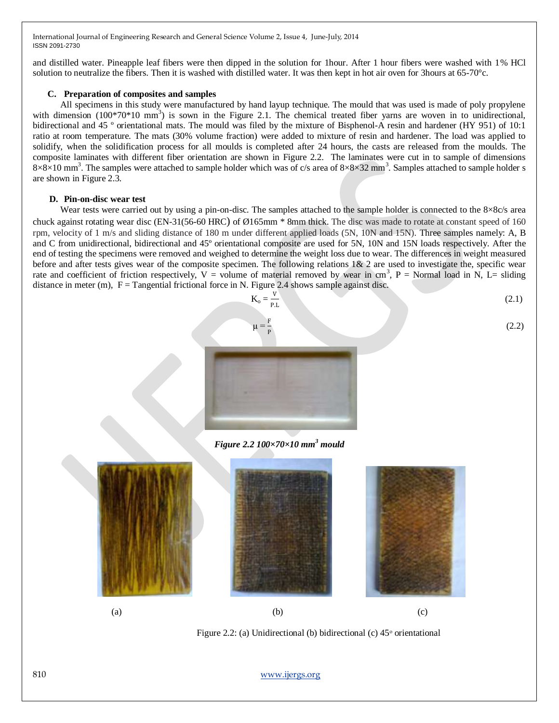and distilled water. Pineapple leaf fibers were then dipped in the solution for 1hour. After 1 hour fibers were washed with 1% HCl solution to neutralize the fibers. Then it is washed with distilled water. It was then kept in hot air oven for 3hours at 65-70°c.

#### **C. Preparation of composites and samples**

All specimens in this study were manufactured by hand layup technique. The mould that was used is made of poly propylene with dimension  $(100*70*10 \text{ mm}^3)$  is sown in the Figure 2.1. The chemical treated fiber yarns are woven in to unidirectional, bidirectional and 45 º orientational mats. The mould was filed by the mixture of Bisphenol-A resin and hardener (HY 951) of 10:1 ratio at room temperature. The mats (30% volume fraction) were added to mixture of resin and hardener. The load was applied to solidify, when the solidification process for all moulds is completed after 24 hours, the casts are released from the moulds. The composite laminates with different fiber orientation are shown in Figure 2.2. The laminates were cut in to sample of dimensions  $8\times8\times10$  mm<sup>3</sup>. The samples were attached to sample holder which was of c/s area of  $8\times8\times32$  mm<sup>3</sup>. Samples attached to sample holder s are shown in Figure 2.3.

#### **D. Pin-on-disc wear test**

Wear tests were carried out by using a pin-on-disc. The samples attached to the sample holder is connected to the  $8\times8c/s$  area chuck against rotating wear disc (EN-31(56-60 HRC) of Ø165mm \* 8mm thick. The disc was made to rotate at constant speed of 160 rpm, velocity of 1 m/s and sliding distance of 180 m under different applied loads (5N, 10N and 15N). Three samples namely: A, B and C from unidirectional, bidirectional and 45º orientational composite are used for 5N, 10N and 15N loads respectively. After the end of testing the specimens were removed and weighed to determine the weight loss due to wear. The differences in weight measured before and after tests gives wear of the composite specimen. The following relations 1& 2 are used to investigate the, specific wear rate and coefficient of friction respectively,  $V =$  volume of material removed by wear in cm<sup>3</sup>, P = Normal load in N, L= sliding distance in meter (m),  $F =$  Tangential frictional force in N. Figure 2.4 shows sample against disc.



*Figure 2.2 100×70×10 mm<sup>3</sup> mould*





(a)  $(b)$  (c)

Figure 2.2: (a) Unidirectional (b) bidirectional (c)  $45^{\circ}$  orientational

810 [www.ijergs.org](http://www.ijergs.org/)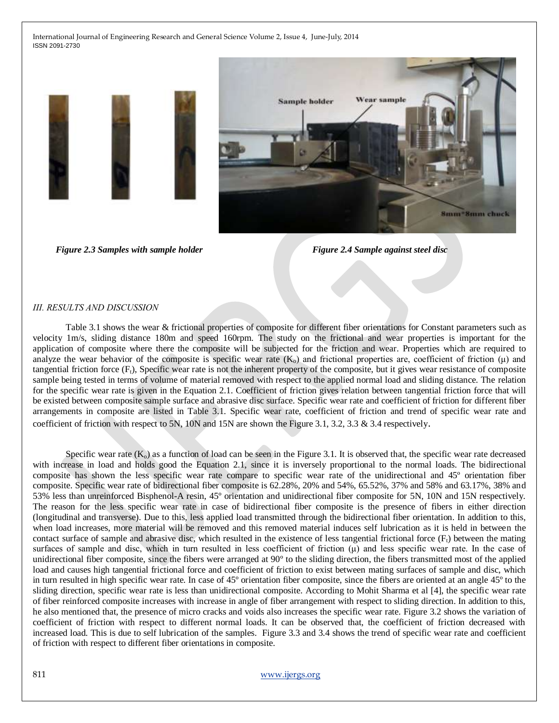

 *Figure 2.3 Samples with sample holder Figure 2.4 Sample against steel disc*

#### *ІІІ. RESULTS AND DISCUSSION*

Table 3.1 shows the wear & frictional properties of composite for different fiber orientations for Constant parameters such as velocity 1m/s, sliding distance 180m and speed 160rpm. The study on the frictional and wear properties is important for the application of composite where there the composite will be subjected for the friction and wear. Properties which are required to analyze the wear behavior of the composite is specific wear rate  $(K_0)$  and frictional properties are, coefficient of friction ( $\mu$ ) and tangential friction force  $(F_t)$ , Specific wear rate is not the inherent property of the composite, but it gives wear resistance of composite sample being tested in terms of volume of material removed with respect to the applied normal load and sliding distance. The relation for the specific wear rate is given in the Equation 2.1. Coefficient of friction gives relation between tangential friction force that will be existed between composite sample surface and abrasive disc surface. Specific wear rate and coefficient of friction for different fiber arrangements in composite are listed in Table 3.1. Specific wear rate, coefficient of friction and trend of specific wear rate and coefficient of friction with respect to 5N, 10N and 15N are shown the Figure 3.1, 3.2, 3.3 & 3.4 respectively.

Specific wear rate  $(K_0)$  as a function of load can be seen in the Figure 3.1. It is observed that, the specific wear rate decreased with increase in load and holds good the Equation 2.1, since it is inversely proportional to the normal loads. The bidirectional composite has shown the less specific wear rate compare to specific wear rate of the unidirectional and 45º orientation fiber composite. Specific wear rate of bidirectional fiber composite is 62.28%, 20% and 54%, 65.52%, 37% and 58% and 63.17%, 38% and 53% less than unreinforced Bisphenol-A resin, 45º orientation and unidirectional fiber composite for 5N, 10N and 15N respectively. The reason for the less specific wear rate in case of bidirectional fiber composite is the presence of fibers in either direction (longitudinal and transverse). Due to this, less applied load transmitted through the bidirectional fiber orientation. In addition to this, when load increases, more material will be removed and this removed material induces self lubrication as it is held in between the contact surface of sample and abrasive disc, which resulted in the existence of less tangential frictional force  $(F<sub>t</sub>)$  between the mating surfaces of sample and disc, which in turn resulted in less coefficient of friction  $(\mu)$  and less specific wear rate. In the case of unidirectional fiber composite, since the fibers were arranged at 90º to the sliding direction, the fibers transmitted most of the applied load and causes high tangential frictional force and coefficient of friction to exist between mating surfaces of sample and disc, which in turn resulted in high specific wear rate. In case of 45º orientation fiber composite, since the fibers are oriented at an angle 45º to the sliding direction, specific wear rate is less than unidirectional composite. According to Mohit Sharma et al [4], the specific wear rate of fiber reinforced composite increases with increase in angle of fiber arrangement with respect to sliding direction. In addition to this, he also mentioned that, the presence of micro cracks and voids also increases the specific wear rate. Figure 3.2 shows the variation of coefficient of friction with respect to different normal loads. It can be observed that, the coefficient of friction decreased with increased load. This is due to self lubrication of the samples. Figure 3.3 and 3.4 shows the trend of specific wear rate and coefficient of friction with respect to different fiber orientations in composite.

#### 811 [www.ijergs.org](http://www.ijergs.org/)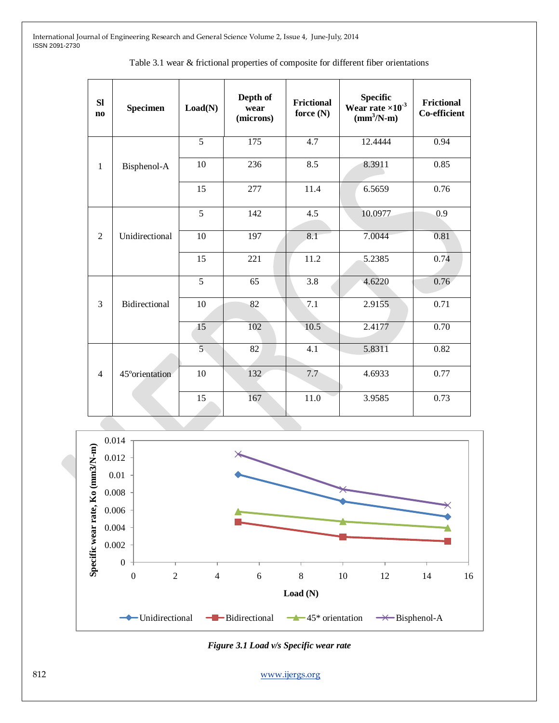| Table 3.1 wear & frictional properties of composite for different fiber orientations |
|--------------------------------------------------------------------------------------|
|--------------------------------------------------------------------------------------|

| <b>SI</b><br>$\mathbf{n}\mathbf{o}$ | <b>Specimen</b>      | Load(N)         | Depth of<br>wear<br>(microns) | <b>Frictional</b><br>force $(N)$ | Specific<br>Wear rate $\times 10^{-3}$<br>$(mm3/N-m)$ | <b>Frictional</b><br><b>Co-efficient</b> |
|-------------------------------------|----------------------|-----------------|-------------------------------|----------------------------------|-------------------------------------------------------|------------------------------------------|
| $\mathbf{1}$                        | Bisphenol-A          | $\overline{5}$  | $\overline{175}$              | 4.7                              | 12.4444                                               | 0.94                                     |
|                                     |                      | 10              | 236                           | 8.5                              | 8.3911                                                | 0.85                                     |
|                                     |                      | 15              | 277                           | 11.4                             | 6.5659                                                | 0.76                                     |
| 2                                   | Unidirectional       | 5               | 142                           | 4.5                              | 10.0977                                               | 0.9                                      |
|                                     |                      | 10              | 197                           | 8.1                              | 7.0044                                                | 0.81                                     |
|                                     |                      | 15              | 221                           | 11.2                             | 5.2385                                                | 0.74                                     |
| 3                                   | <b>Bidirectional</b> | $\overline{5}$  | $\overline{65}$               | $\overline{3.8}$                 | 4.6220                                                | 0.76                                     |
|                                     |                      | 10              | 82                            | 7.1                              | 2.9155                                                | 0.71                                     |
|                                     |                      | $\overline{15}$ | 102                           | 10.5                             | 2.4177                                                | 0.70                                     |
| $\overline{4}$                      | 45° orientation      | $\overline{5}$  | 82                            | 4.1                              | 5.8311                                                | 0.82                                     |
|                                     |                      | 10              | 132                           | 7.7                              | 4.6933                                                | 0.77                                     |
|                                     |                      | 15              | 167                           | $11.0\,$                         | 3.9585                                                | 0.73                                     |



*Figure 3.1 Load v/s Specific wear rate*

812 [www.ijergs.org](http://www.ijergs.org/)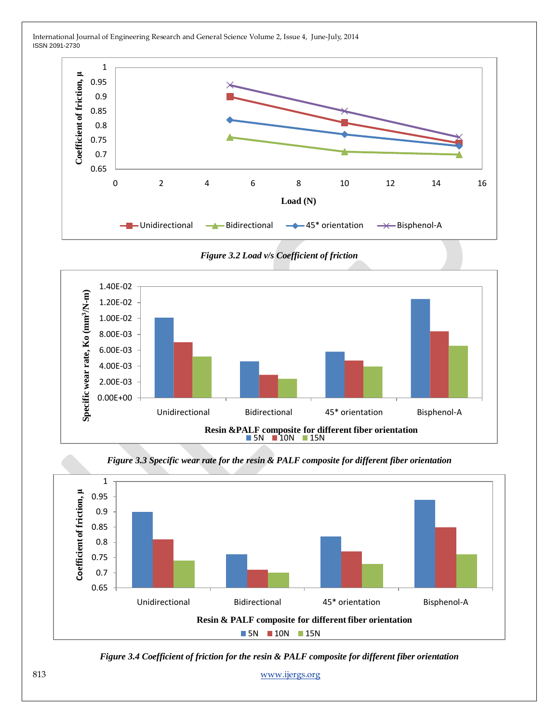

*Figure 3.2 Load v/s Coefficient of friction*





*Figure 3.3 Specific wear rate for the resin & PALF composite for different fiber orientation*

*Figure 3.4 Coefficient of friction for the resin & PALF composite for different fiber orientation*